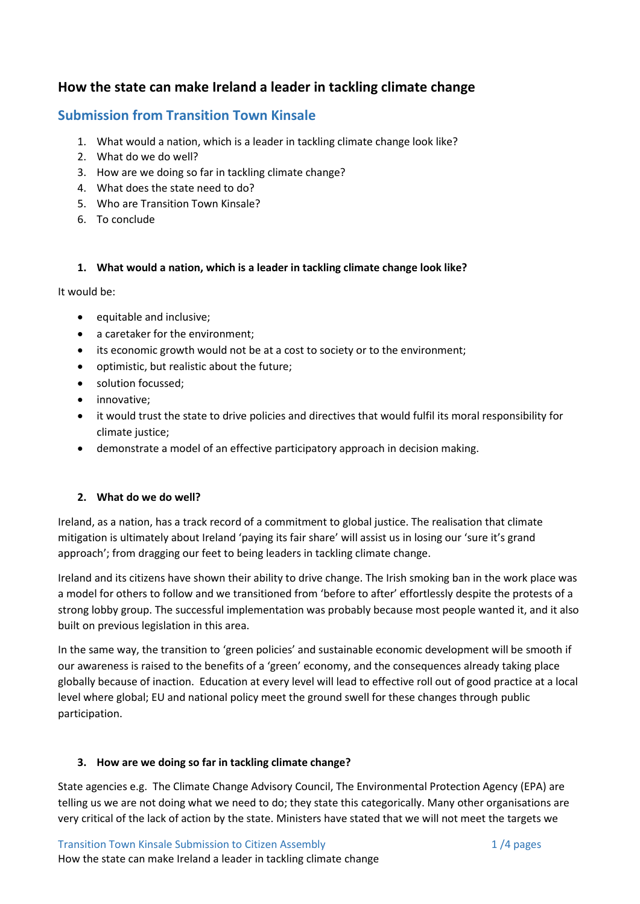# **How the state can make Ireland a leader in tackling climate change**

## **Submission from Transition Town Kinsale**

- 1. What would a nation, which is a leader in tackling climate change look like?
- 2. What do we do well?
- 3. How are we doing so far in tackling climate change?
- 4. What does the state need to do?
- 5. Who are Transition Town Kinsale?
- 6. To conclude

#### **1. What would a nation, which is a leader in tackling climate change look like?**

It would be:

- equitable and inclusive;
- a caretaker for the environment;
- its economic growth would not be at a cost to society or to the environment;
- optimistic, but realistic about the future;
- solution focussed;
- innovative;
- it would trust the state to drive policies and directives that would fulfil its moral responsibility for climate justice;
- demonstrate a model of an effective participatory approach in decision making.

#### **2. What do we do well?**

Ireland, as a nation, has a track record of a commitment to global justice. The realisation that climate mitigation is ultimately about Ireland 'paying its fair share' will assist us in losing our 'sure it's grand approach'; from dragging our feet to being leaders in tackling climate change.

Ireland and its citizens have shown their ability to drive change. The Irish smoking ban in the work place was a model for others to follow and we transitioned from 'before to after' effortlessly despite the protests of a strong lobby group. The successful implementation was probably because most people wanted it, and it also built on previous legislation in this area.

In the same way, the transition to 'green policies' and sustainable economic development will be smooth if our awareness is raised to the benefits of a 'green' economy, and the consequences already taking place globally because of inaction. Education at every level will lead to effective roll out of good practice at a local level where global; EU and national policy meet the ground swell for these changes through public participation.

#### **3. How are we doing so far in tackling climate change?**

State agencies e.g. The Climate Change Advisory Council, The Environmental Protection Agency (EPA) are telling us we are not doing what we need to do; they state this categorically. Many other organisations are very critical of the lack of action by the state. Ministers have stated that we will not meet the targets we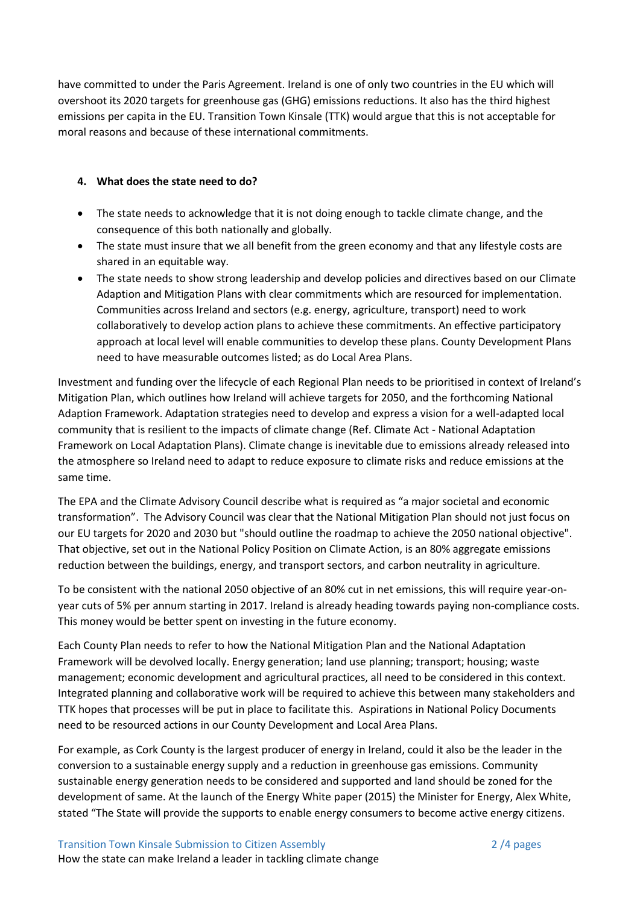have committed to under the Paris Agreement. Ireland is one of only two countries in the EU which will overshoot its 2020 targets for greenhouse gas (GHG) emissions reductions. It also has the third highest emissions per capita in the EU. Transition Town Kinsale (TTK) would argue that this is not acceptable for moral reasons and because of these international commitments.

#### **4. What does the state need to do?**

- The state needs to acknowledge that it is not doing enough to tackle climate change, and the consequence of this both nationally and globally.
- The state must insure that we all benefit from the green economy and that any lifestyle costs are shared in an equitable way.
- The state needs to show strong leadership and develop policies and directives based on our Climate Adaption and Mitigation Plans with clear commitments which are resourced for implementation. Communities across Ireland and sectors (e.g. energy, agriculture, transport) need to work collaboratively to develop action plans to achieve these commitments. An effective participatory approach at local level will enable communities to develop these plans. County Development Plans need to have measurable outcomes listed; as do Local Area Plans.

Investment and funding over the lifecycle of each Regional Plan needs to be prioritised in context of Ireland's Mitigation Plan, which outlines how Ireland will achieve targets for 2050, and the forthcoming National Adaption Framework. Adaptation strategies need to develop and express a vision for a well-adapted local community that is resilient to the impacts of climate change (Ref. Climate Act - National Adaptation Framework on Local Adaptation Plans). Climate change is inevitable due to emissions already released into the atmosphere so Ireland need to adapt to reduce exposure to climate risks and reduce emissions at the same time.

The EPA and the Climate Advisory Council describe what is required as "a major societal and economic transformation". The Advisory Council was clear that the National Mitigation Plan should not just focus on our EU targets for 2020 and 2030 but "should outline the roadmap to achieve the 2050 national objective". That objective, set out in the National Policy Position on Climate Action, is an 80% aggregate emissions reduction between the buildings, energy, and transport sectors, and carbon neutrality in agriculture.

To be consistent with the national 2050 objective of an 80% cut in net emissions, this will require year-onyear cuts of 5% per annum starting in 2017. Ireland is already heading towards paying non-compliance costs. This money would be better spent on investing in the future economy.

Each County Plan needs to refer to how the National Mitigation Plan and the National Adaptation Framework will be devolved locally. Energy generation; land use planning; transport; housing; waste management; economic development and agricultural practices, all need to be considered in this context. Integrated planning and collaborative work will be required to achieve this between many stakeholders and TTK hopes that processes will be put in place to facilitate this. Aspirations in National Policy Documents need to be resourced actions in our County Development and Local Area Plans.

For example, as Cork County is the largest producer of energy in Ireland, could it also be the leader in the conversion to a sustainable energy supply and a reduction in greenhouse gas emissions. Community sustainable energy generation needs to be considered and supported and land should be zoned for the development of same. At the launch of the Energy White paper (2015) the Minister for Energy, Alex White, stated "The State will provide the supports to enable energy consumers to become active energy citizens.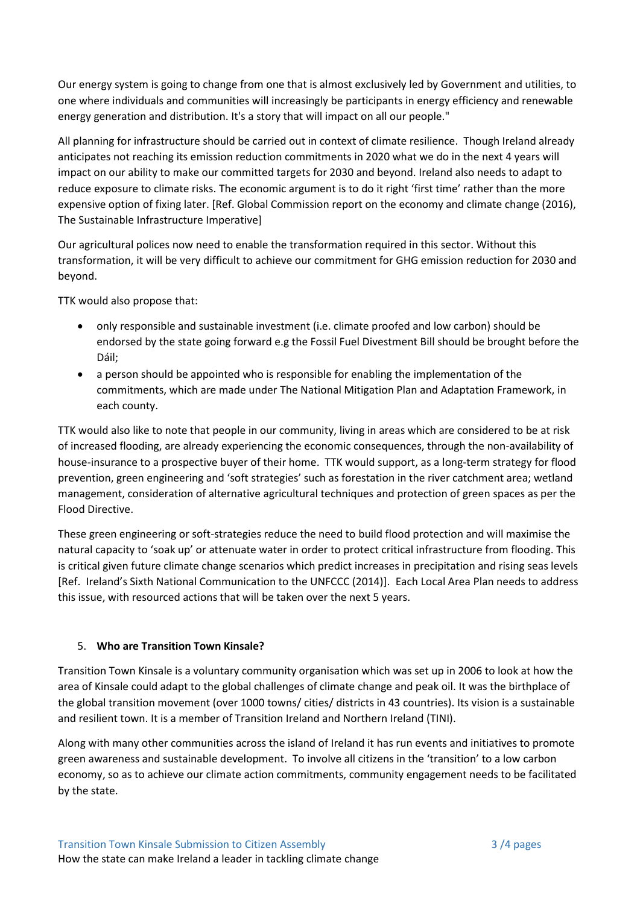Our energy system is going to change from one that is almost exclusively led by Government and utilities, to one where individuals and communities will increasingly be participants in energy efficiency and renewable energy generation and distribution. It's a story that will impact on all our people."

All planning for infrastructure should be carried out in context of climate resilience. Though Ireland already anticipates not reaching its emission reduction commitments in 2020 what we do in the next 4 years will impact on our ability to make our committed targets for 2030 and beyond. Ireland also needs to adapt to reduce exposure to climate risks. The economic argument is to do it right 'first time' rather than the more expensive option of fixing later. [Ref. Global Commission report on the economy and climate change (2016), The Sustainable Infrastructure Imperative]

Our agricultural polices now need to enable the transformation required in this sector. Without this transformation, it will be very difficult to achieve our commitment for GHG emission reduction for 2030 and beyond.

TTK would also propose that:

- only responsible and sustainable investment (i.e. climate proofed and low carbon) should be endorsed by the state going forward e.g the Fossil Fuel Divestment Bill should be brought before the Dáil;
- a person should be appointed who is responsible for enabling the implementation of the commitments, which are made under The National Mitigation Plan and Adaptation Framework, in each county.

TTK would also like to note that people in our community, living in areas which are considered to be at risk of increased flooding, are already experiencing the economic consequences, through the non-availability of house-insurance to a prospective buyer of their home. TTK would support, as a long-term strategy for flood prevention, green engineering and 'soft strategies' such as forestation in the river catchment area; wetland management, consideration of alternative agricultural techniques and protection of green spaces as per the Flood Directive.

These green engineering or soft-strategies reduce the need to build flood protection and will maximise the natural capacity to 'soak up' or attenuate water in order to protect critical infrastructure from flooding. This is critical given future climate change scenarios which predict increases in precipitation and rising seas levels [Ref. Ireland's Sixth National Communication to the UNFCCC (2014)]. Each Local Area Plan needs to address this issue, with resourced actions that will be taken over the next 5 years.

### 5. **Who are Transition Town Kinsale?**

Transition Town Kinsale is a voluntary community organisation which was set up in 2006 to look at how the area of Kinsale could adapt to the global challenges of climate change and peak oil. It was the birthplace of the global transition movement (over 1000 towns/ cities/ districts in 43 countries). Its vision is a sustainable and resilient town. It is a member of Transition Ireland and Northern Ireland (TINI).

Along with many other communities across the island of Ireland it has run events and initiatives to promote green awareness and sustainable development. To involve all citizens in the 'transition' to a low carbon economy, so as to achieve our climate action commitments, community engagement needs to be facilitated by the state.